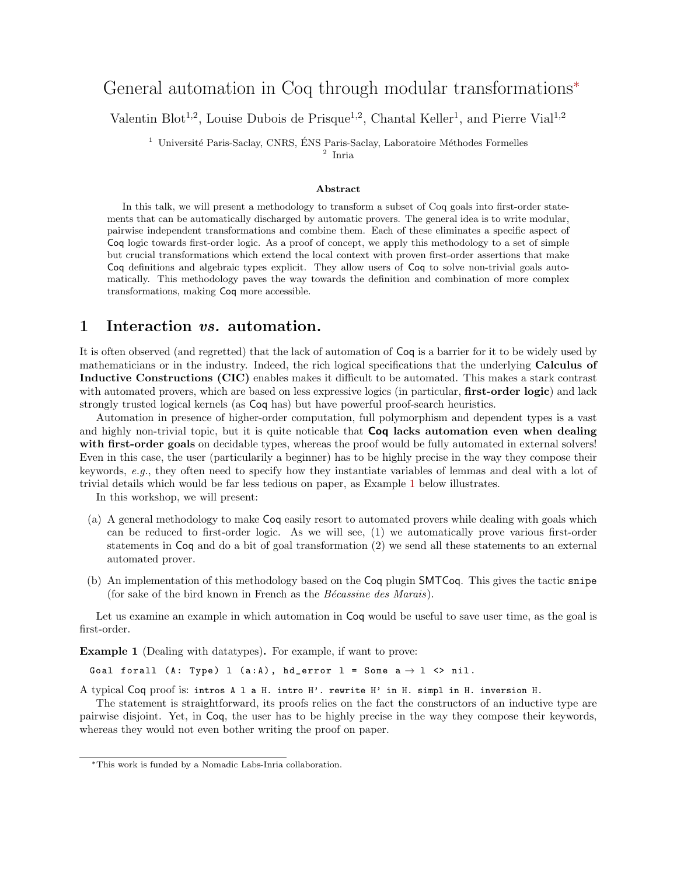# General automation in Coq through modular transformations<sup>∗</sup>

Valentin Blot<sup>1,2</sup>, Louise Dubois de Prisque<sup>1,2</sup>, Chantal Keller<sup>1</sup>, and Pierre Vial<sup>1,2</sup>

 $1$  Université Paris-Saclay, CNRS, ÉNS Paris-Saclay, Laboratoire Méthodes Formelles

2 Inria

#### Abstract

In this talk, we will present a methodology to transform a subset of Coq goals into first-order statements that can be automatically discharged by automatic provers. The general idea is to write modular, pairwise independent transformations and combine them. Each of these eliminates a specific aspect of Coq logic towards first-order logic. As a proof of concept, we apply this methodology to a set of simple but crucial transformations which extend the local context with proven first-order assertions that make Coq definitions and algebraic types explicit. They allow users of Coq to solve non-trivial goals automatically. This methodology paves the way towards the definition and combination of more complex transformations, making Coq more accessible.

### 1 Interaction vs. automation.

It is often observed (and regretted) that the lack of automation of Coq is a barrier for it to be widely used by mathematicians or in the industry. Indeed, the rich logical specifications that the underlying Calculus of Inductive Constructions (CIC) enables makes it difficult to be automated. This makes a stark contrast with automated provers, which are based on less expressive logics (in particular, **first-order logic**) and lack strongly trusted logical kernels (as Coq has) but have powerful proof-search heuristics.

Automation in presence of higher-order computation, full polymorphism and dependent types is a vast and highly non-trivial topic, but it is quite noticable that **Coq lacks automation even when dealing** with first-order goals on decidable types, whereas the proof would be fully automated in external solvers! Even in this case, the user (particularily a beginner) has to be highly precise in the way they compose their keywords, e.g., they often need to specify how they instantiate variables of lemmas and deal with a lot of trivial details which would be far less tedious on paper, as Example [1](#page-0-0) below illustrates.

In this workshop, we will present:

- (a) A general methodology to make Coq easily resort to automated provers while dealing with goals which can be reduced to first-order logic. As we will see, (1) we automatically prove various first-order statements in Coq and do a bit of goal transformation (2) we send all these statements to an external automated prover.
- (b) An implementation of this methodology based on the Coq plugin SMTCoq. This gives the tactic snipe (for sake of the bird known in French as the  $B\acute{e}cassine$  des Marais).

Let us examine an example in which automation in Coq would be useful to save user time, as the goal is first-order.

<span id="page-0-0"></span>Example 1 (Dealing with datatypes). For example, if want to prove:

Goal forall (A: Type) 1 (a:A), hd\_error 1 = Some  $a \rightarrow 1 \leftrightarrow nil$ .

A typical Coq proof is: intros A l a H. intro H'. rewrite H' in H. simpl in H. inversion H.

The statement is straightforward, its proofs relies on the fact the constructors of an inductive type are pairwise disjoint. Yet, in Coq, the user has to be highly precise in the way they compose their keywords, whereas they would not even bother writing the proof on paper.

<sup>∗</sup>This work is funded by a Nomadic Labs-Inria collaboration.